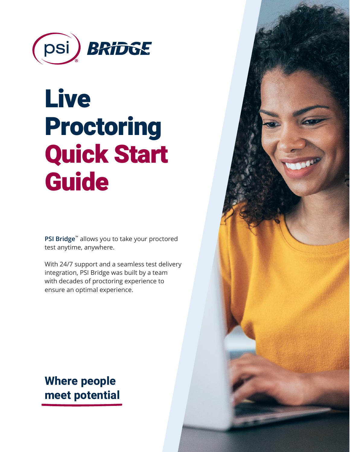

# Live Proctoring Quick Start **Guide**

**PSI Bridge**™ allows you to take your proctored test anytime, anywhere.

With 24/7 support and a seamless test delivery integration, PSI Bridge was built by a team with decades of proctoring experience to ensure an optimal experience.

**Where people meet potential**